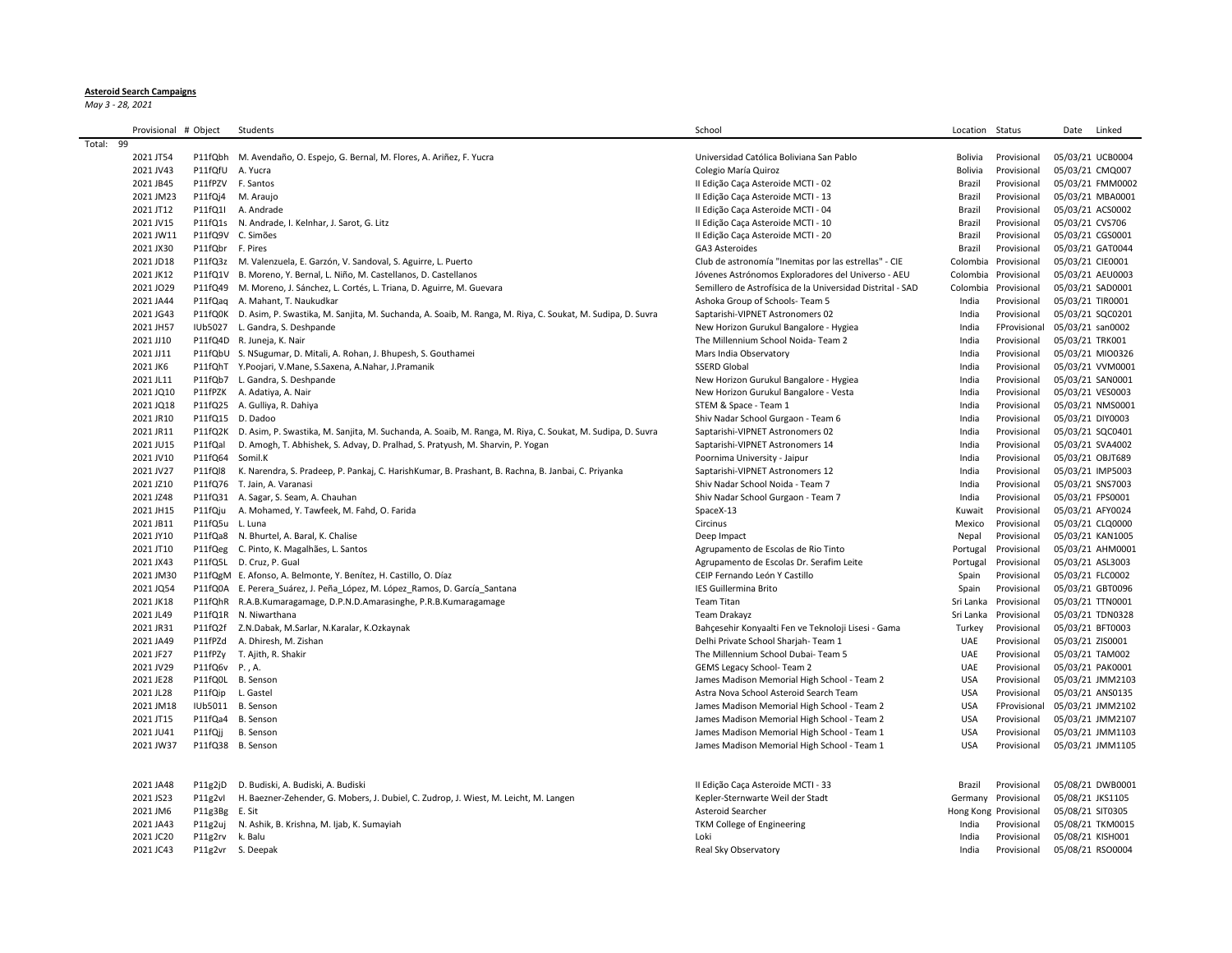## **Asteroid Search Campaigns**

*May 3 - 28, 2021*

| Provisional # Object |                  | Students                                                                                                           | School                                                     | Location Status |                               |                  | Date Linked      |
|----------------------|------------------|--------------------------------------------------------------------------------------------------------------------|------------------------------------------------------------|-----------------|-------------------------------|------------------|------------------|
| Total: 99            |                  |                                                                                                                    |                                                            |                 |                               |                  |                  |
| 2021 JT54            |                  | P11fQbh M. Avendaño, O. Espejo, G. Bernal, M. Flores, A. Ariñez, F. Yucra                                          | Universidad Católica Boliviana San Pablo                   | Bolivia         | Provisional                   |                  | 05/03/21 UCB0004 |
| 2021 JV43            |                  | P11fQfU A. Yucra                                                                                                   | Colegio María Quiroz                                       | Bolivia         | Provisional                   |                  | 05/03/21 CMQ007  |
| 2021 JB45            |                  | P11fPZV F. Santos                                                                                                  | Il Edição Caça Asteroide MCTI - 02                         | Brazil          | Provisional                   |                  | 05/03/21 FMM0002 |
| 2021 JM23            |                  | P11fQj4 M. Araujo                                                                                                  | Il Edição Caça Asteroide MCTI - 13                         | Brazil          | Provisional                   |                  | 05/03/21 MBA0001 |
| 2021 JT12            |                  | P11fQ1I A. Andrade                                                                                                 | Il Edição Caça Asteroide MCTI - 04                         | Brazil          | Provisional                   |                  | 05/03/21 ACS0002 |
| 2021 JV15            |                  | P11fQ1s N. Andrade, I. Kelnhar, J. Sarot, G. Litz                                                                  | Il Edição Caça Asteroide MCTI - 10                         | Brazil          | Provisional                   | 05/03/21 CVS706  |                  |
|                      |                  |                                                                                                                    |                                                            |                 |                               |                  |                  |
| 2021 JW11            |                  | P11fQ9V C. Simões                                                                                                  | Il Edição Caça Asteroide MCTI - 20                         | Brazil          | Provisional                   |                  | 05/03/21 CGS0001 |
| 2021 JX30            | P11fQbr F. Pires |                                                                                                                    | GA3 Asteroides                                             | Brazil          | Provisional                   |                  | 05/03/21 GAT0044 |
| 2021 JD18            |                  | P11fQ3z M. Valenzuela, E. Garzón, V. Sandoval, S. Aguirre, L. Puerto                                               | Club de astronomía "Inemitas por las estrellas" - CIE      |                 | Colombia Provisional          | 05/03/21 CIE0001 |                  |
| 2021 JK12            |                  | P11fQ1V B. Moreno, Y. Bernal, L. Niño, M. Castellanos, D. Castellanos                                              | Jóvenes Astrónomos Exploradores del Universo - AEU         | Colombia        | Provisional                   |                  | 05/03/21 AEU0003 |
| 2021 JO29            |                  | P11fQ49 M. Moreno, J. Sánchez, L. Cortés, L. Triana, D. Aguirre, M. Guevara                                        | Semillero de Astrofísica de la Universidad Distrital - SAD | Colombia        | Provisional                   |                  | 05/03/21 SAD0001 |
| 2021 JA44            |                  | P11fQaq A. Mahant, T. Naukudkar                                                                                    | Ashoka Group of Schools- Team 5                            | India           | Provisional                   | 05/03/21 TIR0001 |                  |
| 2021 JG43            |                  | P11fQ0K D. Asim, P. Swastika, M. Sanjita, M. Suchanda, A. Soaib, M. Ranga, M. Riya, C. Soukat, M. Sudipa, D. Suvra | Saptarishi-VIPNET Astronomers 02                           | India           | Provisional                   |                  | 05/03/21 SQC0201 |
| 2021 JH57            |                  | IUb5027 L. Gandra, S. Deshpande                                                                                    | New Horizon Gurukul Bangalore - Hygiea                     | India           | FProvisional                  | 05/03/21 san0002 |                  |
| 2021 JJ10            |                  | P11fQ4D R. Juneja, K. Nair                                                                                         | The Millennium School Noida- Team 2                        | India           | Provisional                   | 05/03/21 TRK001  |                  |
| 2021 JJ11            |                  | P11fQbU S. NSugumar, D. Mitali, A. Rohan, J. Bhupesh, S. Gouthamei                                                 | Mars India Observatory                                     | India           | Provisional                   |                  | 05/03/21 MIO0326 |
| 2021 JK6             |                  | P11fQhT Y.Poojari, V.Mane, S.Saxena, A.Nahar, J.Pramanik                                                           | <b>SSERD Global</b>                                        | India           | Provisional                   |                  | 05/03/21 VVM0001 |
| 2021 JL11            |                  | P11fQb7 L. Gandra, S. Deshpande                                                                                    | New Horizon Gurukul Bangalore - Hygiea                     | India           | Provisional                   |                  | 05/03/21 SAN0001 |
| 2021 JQ10            |                  | P11fPZK A. Adatiya, A. Nair                                                                                        | New Horizon Gurukul Bangalore - Vesta                      | India           | Provisional                   |                  | 05/03/21 VES0003 |
| 2021 JQ18            |                  | P11fQ25 A. Gulliya, R. Dahiya                                                                                      | STEM & Space - Team 1                                      | India           | Provisional                   |                  | 05/03/21 NMS0001 |
| 2021 JR10            |                  | P11fQ15 D. Dadoo                                                                                                   | Shiv Nadar School Gurgaon - Team 6                         | India           | Provisional                   |                  | 05/03/21 DIY0003 |
| 2021 JR11            |                  | P11fQ2K D. Asim, P. Swastika, M. Sanjita, M. Suchanda, A. Soaib, M. Ranga, M. Riya, C. Soukat, M. Sudipa, D. Suvra | Saptarishi-VIPNET Astronomers 02                           | India           | Provisional                   |                  | 05/03/21 SQC0401 |
| 2021 JU15            |                  | P11fQal D. Amogh, T. Abhishek, S. Advay, D. Pralhad, S. Pratyush, M. Sharvin, P. Yogan                             | Saptarishi-VIPNET Astronomers 14                           | India           | Provisional                   |                  | 05/03/21 SVA4002 |
| 2021 JV10            | P11fQ64 Somil.K  |                                                                                                                    | Poornima University - Jaipur                               | India           | Provisional                   |                  | 05/03/21 OBJT689 |
| 2021 JV27            |                  | P11fQl8 K. Narendra, S. Pradeep, P. Pankaj, C. HarishKumar, B. Prashant, B. Rachna, B. Janbai, C. Priyanka         | Saptarishi-VIPNET Astronomers 12                           | India           | Provisional                   |                  | 05/03/21 IMP5003 |
| 2021 JZ10            |                  | P11fQ76 T. Jain, A. Varanasi                                                                                       | Shiv Nadar School Noida - Team 7                           | India           | Provisional                   |                  | 05/03/21 SNS7003 |
| 2021 JZ48            |                  | P11fQ31 A. Sagar, S. Seam, A. Chauhan                                                                              | Shiv Nadar School Gurgaon - Team 7                         | India           | Provisional                   |                  | 05/03/21 FPS0001 |
| 2021 JH15            |                  | P11fQju A. Mohamed, Y. Tawfeek, M. Fahd, O. Farida                                                                 | SpaceX-13                                                  | Kuwait          | Provisional                   |                  | 05/03/21 AFY0024 |
| 2021 JB11            | P11fQ5u L. Luna  |                                                                                                                    | Circinus                                                   | Mexico          | Provisional                   |                  | 05/03/21 CLQ0000 |
| 2021 JY10            |                  | P11fQa8 N. Bhurtel, A. Baral, K. Chalise                                                                           | Deep Impact                                                | Nepal           | Provisional                   |                  | 05/03/21 KAN1005 |
| 2021 JT10            |                  | P11fQeg C. Pinto, K. Magalhães, L. Santos                                                                          | Agrupamento de Escolas de Rio Tinto                        | Portugal        | Provisional                   |                  | 05/03/21 AHM0001 |
| 2021 JX43            |                  | P11fQ5L D. Cruz, P. Gual                                                                                           | Agrupamento de Escolas Dr. Serafim Leite                   | Portugal        | Provisional                   |                  | 05/03/21 ASL3003 |
| 2021 JM30            |                  |                                                                                                                    | CEIP Fernando León Y Castillo                              |                 |                               |                  |                  |
|                      |                  | P11fQgM E. Afonso, A. Belmonte, Y. Benítez, H. Castillo, O. Díaz                                                   |                                                            | Spain           | Provisional                   |                  | 05/03/21 FLC0002 |
| 2021 JQ54            |                  | P11fQ0A E. Perera Suárez, J. Peña López, M. López Ramos, D. García Santana                                         | IES Guillermina Brito                                      | Spain           | Provisional                   |                  | 05/03/21 GBT0096 |
| 2021 JK18            |                  | P11fQhR R.A.B.Kumaragamage, D.P.N.D.Amarasinghe, P.R.B.Kumaragamage                                                | Team Titan                                                 | Sri Lanka       | Provisional                   |                  | 05/03/21 TTN0001 |
| 2021 JL49            |                  | P11fQ1R N. Niwarthana                                                                                              | Team Drakayz                                               | Sri Lanka       | Provisional                   |                  | 05/03/21 TDN0328 |
| 2021 JR31            |                  | P11fQ2f Z.N.Dabak, M.Sarlar, N.Karalar, K.Ozkaynak                                                                 | Bahçesehir Konyaalti Fen ve Teknoloji Lisesi - Gama        | Turkey          | Provisional                   |                  | 05/03/21 BFT0003 |
| 2021 JA49            |                  | P11fPZd A. Dhiresh, M. Zishan                                                                                      | Delhi Private School Sharjah- Team 1                       | UAE             | Provisional                   | 05/03/21 ZIS0001 |                  |
| 2021 JF27            |                  | P11fPZy T. Ajith, R. Shakir                                                                                        | The Millennium School Dubai- Team 5                        | UAE             | Provisional                   |                  | 05/03/21 TAM002  |
| 2021 JV29            | P11fQ6v P., A.   |                                                                                                                    | GEMS Legacy School- Team 2                                 | UAE             | Provisional                   |                  | 05/03/21 PAK0001 |
| 2021 JE28            |                  | P11fQ0L B. Senson                                                                                                  | James Madison Memorial High School - Team 2                | <b>USA</b>      | Provisional                   |                  | 05/03/21 JMM2103 |
| 2021 JL28            |                  | P11fQip L. Gastel                                                                                                  | Astra Nova School Asteroid Search Team                     | <b>USA</b>      | Provisional                   |                  | 05/03/21 ANS0135 |
| 2021 JM18            |                  | IUb5011 B. Senson                                                                                                  | James Madison Memorial High School - Team 2                | <b>USA</b>      | FProvisional 05/03/21 JMM2102 |                  |                  |
| 2021 JT15            |                  | P11fQa4 B. Senson                                                                                                  | James Madison Memorial High School - Team 2                | <b>USA</b>      | Provisional                   |                  | 05/03/21 JMM2107 |
| 2021 JU41            | P11fQjj          | B. Senson                                                                                                          | James Madison Memorial High School - Team 1                | <b>USA</b>      | Provisional                   |                  | 05/03/21 JMM1103 |
| 2021 JW37            |                  | P11fQ38 B. Senson                                                                                                  | James Madison Memorial High School - Team 1                | <b>USA</b>      | Provisional                   |                  | 05/03/21 JMM1105 |
|                      |                  |                                                                                                                    |                                                            |                 |                               |                  |                  |
| 2021 JA48            | P11g2jD          | D. Budiski, A. Budiski, A. Budiski                                                                                 | Il Edição Caça Asteroide MCTI - 33                         | Brazil          | Provisional                   |                  | 05/08/21 DWB0001 |
| 2021 JS23            | P11g2vl          | H. Baezner-Zehender, G. Mobers, J. Dubiel, C. Zudrop, J. Wiest, M. Leicht, M. Langen                               | Kepler-Sternwarte Weil der Stadt                           |                 | Germany Provisional           |                  | 05/08/21 JKS1105 |
| 2021 JM6             | P11g3Bg E. Sit   |                                                                                                                    | Asteroid Searcher                                          |                 | Hong Kong Provisional         | 05/08/21 SIT0305 |                  |
| 2021 JA43            |                  | P11g2uj N. Ashik, B. Krishna, M. Ijab, K. Sumayiah                                                                 | TKM College of Engineering                                 | India           | Provisional                   |                  | 05/08/21 TKM0015 |
| 2021 JC20            | P11g2rv k. Balu  |                                                                                                                    | Loki                                                       | India           | Provisional                   |                  | 05/08/21 KISH001 |
| 2021 JC43            |                  | P11g2vr S. Deepak                                                                                                  | Real Sky Observatory                                       | India           | Provisional                   |                  | 05/08/21 RSO0004 |